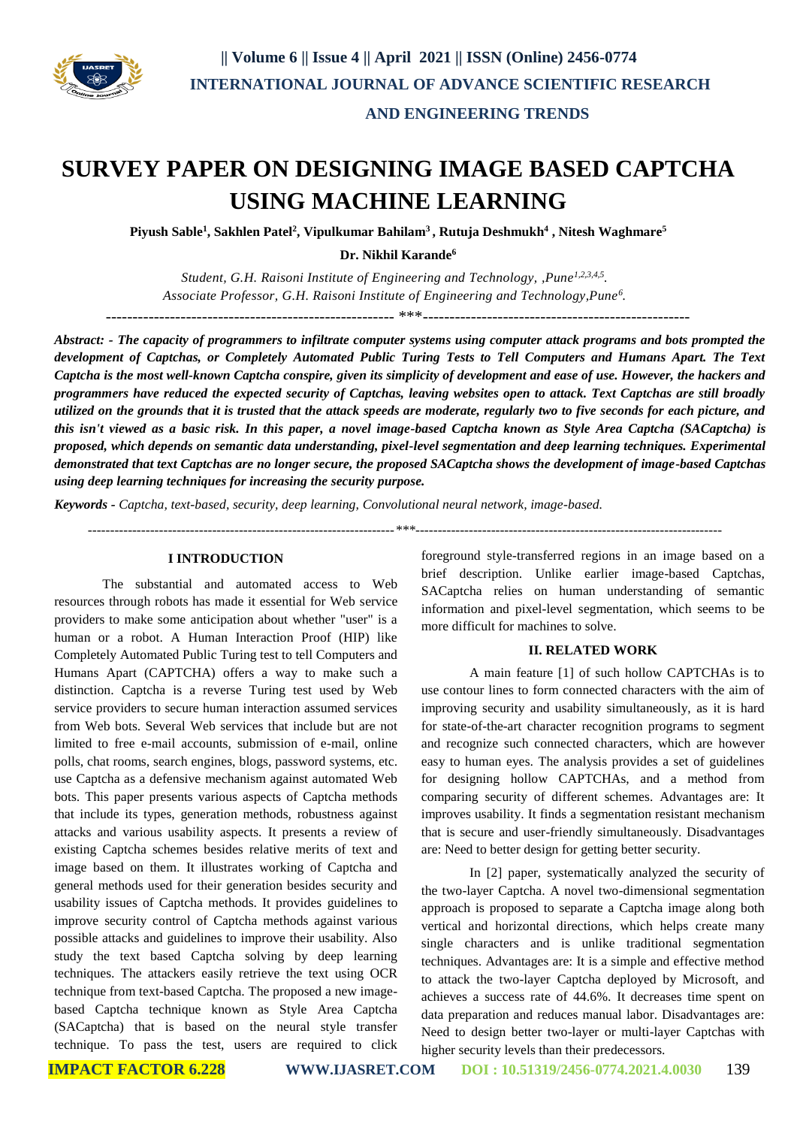

# **SURVEY PAPER ON DESIGNING IMAGE BASED CAPTCHA USING MACHINE LEARNING**

**Piyush Sable<sup>1</sup> , Sakhlen Patel<sup>2</sup> , Vipulkumar Bahilam<sup>3</sup>, Rutuja Deshmukh<sup>4</sup> , Nitesh Waghmare<sup>5</sup>**

**Dr. Nikhil Karande<sup>6</sup>**

*Student, G.H. Raisoni Institute of Engineering and Technology, ,Pune1,2,3,4,5 . Associate Professor, G.H. Raisoni Institute of Engineering and Technology,Pune<sup>6</sup> .*

------------------------------------------------------ \*\*\*--------------------------------------------------

*Abstract: - The capacity of programmers to infiltrate computer systems using computer attack programs and bots prompted the development of Captchas, or Completely Automated Public Turing Tests to Tell Computers and Humans Apart. The Text Captcha is the most well-known Captcha conspire, given its simplicity of development and ease of use. However, the hackers and programmers have reduced the expected security of Captchas, leaving websites open to attack. Text Captchas are still broadly utilized on the grounds that it is trusted that the attack speeds are moderate, regularly two to five seconds for each picture, and this isn't viewed as a basic risk. In this paper, a novel image-based Captcha known as Style Area Captcha (SACaptcha) is proposed, which depends on semantic data understanding, pixel-level segmentation and deep learning techniques. Experimental demonstrated that text Captchas are no longer secure, the proposed SACaptcha shows the development of image-based Captchas using deep learning techniques for increasing the security purpose.*

*Keywords - Captcha, text-based, security, deep learning, Convolutional neural network, image-based.*

 *---------------------------------------------------------------------\*\*\*---------------------------------------------------------------------*

#### **I INTRODUCTION**

The substantial and automated access to Web resources through robots has made it essential for Web service providers to make some anticipation about whether "user" is a human or a robot. A Human Interaction Proof (HIP) like Completely Automated Public Turing test to tell Computers and Humans Apart (CAPTCHA) offers a way to make such a distinction. Captcha is a reverse Turing test used by Web service providers to secure human interaction assumed services from Web bots. Several Web services that include but are not limited to free e-mail accounts, submission of e-mail, online polls, chat rooms, search engines, blogs, password systems, etc. use Captcha as a defensive mechanism against automated Web bots. This paper presents various aspects of Captcha methods that include its types, generation methods, robustness against attacks and various usability aspects. It presents a review of existing Captcha schemes besides relative merits of text and image based on them. It illustrates working of Captcha and general methods used for their generation besides security and usability issues of Captcha methods. It provides guidelines to improve security control of Captcha methods against various possible attacks and guidelines to improve their usability. Also study the text based Captcha solving by deep learning techniques. The attackers easily retrieve the text using OCR technique from text-based Captcha. The proposed a new imagebased Captcha technique known as Style Area Captcha (SACaptcha) that is based on the neural style transfer technique. To pass the test, users are required to click

foreground style-transferred regions in an image based on a brief description. Unlike earlier image-based Captchas, SACaptcha relies on human understanding of semantic information and pixel-level segmentation, which seems to be more difficult for machines to solve.

### **II. RELATED WORK**

A main feature [1] of such hollow CAPTCHAs is to use contour lines to form connected characters with the aim of improving security and usability simultaneously, as it is hard for state-of-the-art character recognition programs to segment and recognize such connected characters, which are however easy to human eyes. The analysis provides a set of guidelines for designing hollow CAPTCHAs, and a method from comparing security of different schemes. Advantages are: It improves usability. It finds a segmentation resistant mechanism that is secure and user-friendly simultaneously. Disadvantages are: Need to better design for getting better security.

In [2] paper, systematically analyzed the security of the two-layer Captcha. A novel two-dimensional segmentation approach is proposed to separate a Captcha image along both vertical and horizontal directions, which helps create many single characters and is unlike traditional segmentation techniques. Advantages are: It is a simple and effective method to attack the two-layer Captcha deployed by Microsoft, and achieves a success rate of 44.6%. It decreases time spent on data preparation and reduces manual labor. Disadvantages are: Need to design better two-layer or multi-layer Captchas with higher security levels than their predecessors.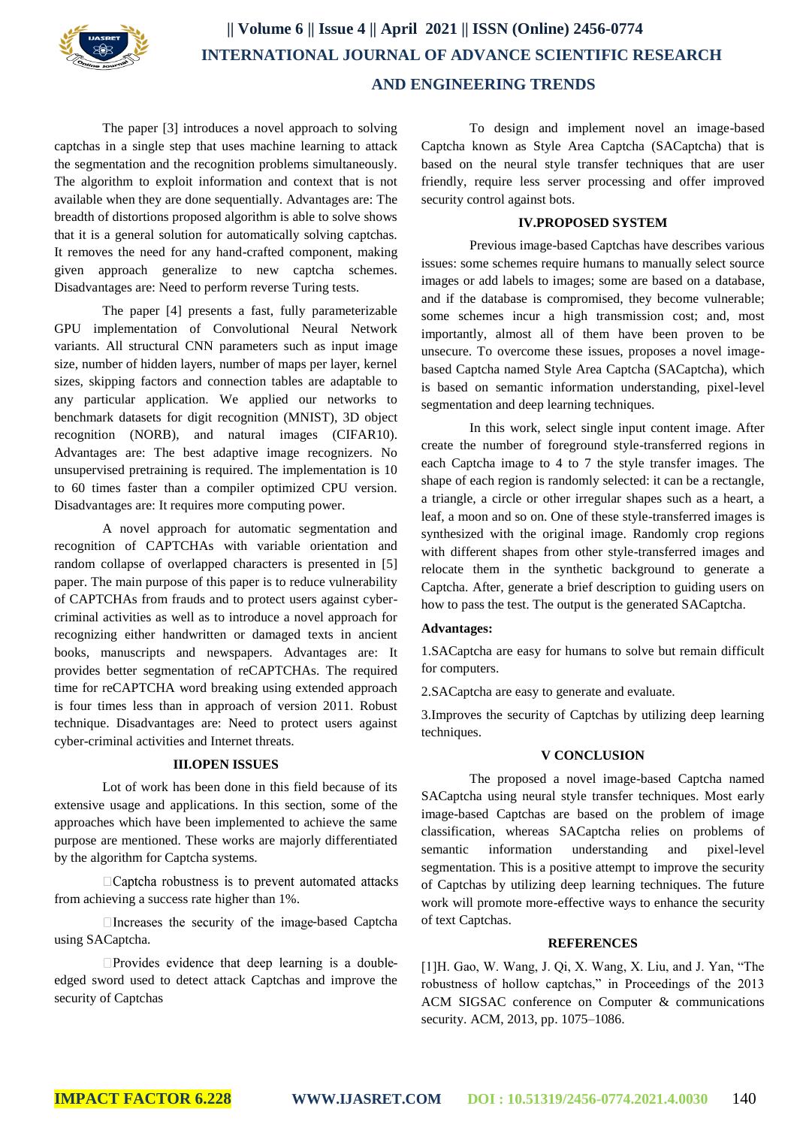

# **|| Volume 6 || Issue 4 || April 2021 || ISSN (Online) 2456-0774 INTERNATIONAL JOURNAL OF ADVANCE SCIENTIFIC RESEARCH AND ENGINEERING TRENDS**

The paper [3] introduces a novel approach to solving captchas in a single step that uses machine learning to attack the segmentation and the recognition problems simultaneously. The algorithm to exploit information and context that is not available when they are done sequentially. Advantages are: The breadth of distortions proposed algorithm is able to solve shows that it is a general solution for automatically solving captchas. It removes the need for any hand-crafted component, making given approach generalize to new captcha schemes. Disadvantages are: Need to perform reverse Turing tests.

The paper [4] presents a fast, fully parameterizable GPU implementation of Convolutional Neural Network variants. All structural CNN parameters such as input image size, number of hidden layers, number of maps per layer, kernel sizes, skipping factors and connection tables are adaptable to any particular application. We applied our networks to benchmark datasets for digit recognition (MNIST), 3D object recognition (NORB), and natural images (CIFAR10). Advantages are: The best adaptive image recognizers. No unsupervised pretraining is required. The implementation is 10 to 60 times faster than a compiler optimized CPU version. Disadvantages are: It requires more computing power.

A novel approach for automatic segmentation and recognition of CAPTCHAs with variable orientation and random collapse of overlapped characters is presented in [5] paper. The main purpose of this paper is to reduce vulnerability of CAPTCHAs from frauds and to protect users against cybercriminal activities as well as to introduce a novel approach for recognizing either handwritten or damaged texts in ancient books, manuscripts and newspapers. Advantages are: It provides better segmentation of reCAPTCHAs. The required time for reCAPTCHA word breaking using extended approach is four times less than in approach of version 2011. Robust technique. Disadvantages are: Need to protect users against cyber-criminal activities and Internet threats.

#### **III.OPEN ISSUES**

Lot of work has been done in this field because of its extensive usage and applications. In this section, some of the approaches which have been implemented to achieve the same purpose are mentioned. These works are majorly differentiated by the algorithm for Captcha systems.

 $\Box$ Captcha robustness is to prevent automated attacks from achieving a success rate higher than 1%.

 $\Box$  Increases the security of the image-based Captcha using SACaptcha.

 $\Box$ Provides evidence that deep learning is a doubleedged sword used to detect attack Captchas and improve the security of Captchas

To design and implement novel an image-based Captcha known as Style Area Captcha (SACaptcha) that is based on the neural style transfer techniques that are user friendly, require less server processing and offer improved security control against bots.

#### **IV.PROPOSED SYSTEM**

Previous image-based Captchas have describes various issues: some schemes require humans to manually select source images or add labels to images; some are based on a database, and if the database is compromised, they become vulnerable; some schemes incur a high transmission cost; and, most importantly, almost all of them have been proven to be unsecure. To overcome these issues, proposes a novel imagebased Captcha named Style Area Captcha (SACaptcha), which is based on semantic information understanding, pixel-level segmentation and deep learning techniques.

In this work, select single input content image. After create the number of foreground style-transferred regions in each Captcha image to 4 to 7 the style transfer images. The shape of each region is randomly selected: it can be a rectangle, a triangle, a circle or other irregular shapes such as a heart, a leaf, a moon and so on. One of these style-transferred images is synthesized with the original image. Randomly crop regions with different shapes from other style-transferred images and relocate them in the synthetic background to generate a Captcha. After, generate a brief description to guiding users on how to pass the test. The output is the generated SACaptcha.

#### **Advantages:**

1.SACaptcha are easy for humans to solve but remain difficult for computers.

2.SACaptcha are easy to generate and evaluate.

3.Improves the security of Captchas by utilizing deep learning techniques.

## **V CONCLUSION**

The proposed a novel image-based Captcha named SACaptcha using neural style transfer techniques. Most early image-based Captchas are based on the problem of image classification, whereas SACaptcha relies on problems of semantic information understanding and pixel-level segmentation. This is a positive attempt to improve the security of Captchas by utilizing deep learning techniques. The future work will promote more-effective ways to enhance the security of text Captchas.

#### **REFERENCES**

[1]H. Gao, W. Wang, J. Qi, X. Wang, X. Liu, and J. Yan, "The robustness of hollow captchas," in Proceedings of the 2013 ACM SIGSAC conference on Computer & communications security. ACM, 2013, pp. 1075–1086.